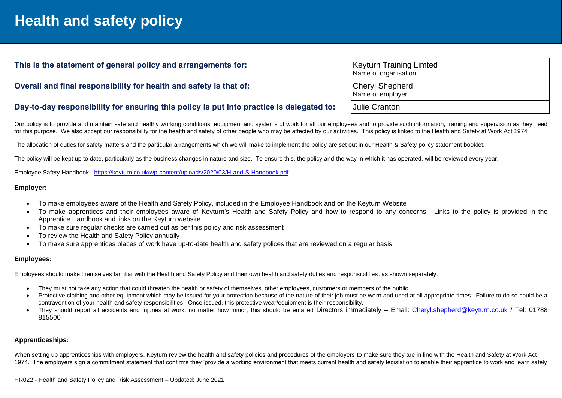# **Health and safety policy**

## This is the statement of general policy and arrangements for:

# **Overall and final responsibility for health and safety is that of:**

|  | Day-to-day responsibility for ensuring this policy is put into practice is delegated to: |  | <b>Julie Cranton</b> |
|--|------------------------------------------------------------------------------------------|--|----------------------|
|--|------------------------------------------------------------------------------------------|--|----------------------|

Our policy is to provide and maintain safe and healthy working conditions, equipment and systems of work for all our employees and to provide such information, training and supervision as they need for this purpose. We also accept our responsibility for the health and safety of other people who may be affected by our activities. This policy is linked to the Health and Safety at Work Act 1974

The allocation of duties for safety matters and the particular arrangements which we will make to implement the policy are set out in our Health & Safety policy statement booklet.

The policy will be kept up to date, particularly as the business changes in nature and size. To ensure this, the policy and the way in which it has operated, will be reviewed every year.

Employee Safety Handbook - <https://keyturn.co.uk/wp-content/uploads/2020/03/H-and-S-Handbook.pdf>

#### **Employer:**

- To make employees aware of the Health and Safety Policy, included in the Employee Handbook and on the Keyturn Website
- To make apprentices and their employees aware of Keyturn's Health and Safety Policy and how to respond to any concerns. Links to the policy is provided in the Apprentice Handbook and links on the Keyturn website
- To make sure regular checks are carried out as per this policy and risk assessment
- To review the Health and Safety Policy annually
- To make sure apprentices places of work have up-to-date health and safety polices that are reviewed on a regular basis

#### **Employees:**

Employees should make themselves familiar with the Health and Safety Policy and their own health and safety duties and responsibilities, as shown separately.

- They must not take any action that could threaten the health or safety of themselves, other employees, customers or members of the public.
- Protective clothing and other equipment which may be issued for your protection because of the nature of their job must be worn and used at all appropriate times. Failure to do so could be a contravention of your health and safety responsibilities. Once issued, this protective wear/equipment is their responsibility.
- They should report all accidents and injuries at work, no matter how minor, this should be emailed Directors immediately Email: [Cheryl.shepherd@keyturn.co.uk](mailto:Cheryl.shepherd@keyturn.co.uk) / Tel: 01788 815500

### **Apprenticeships:**

When setting up apprenticeships with employers, Keyturn review the health and safety policies and procedures of the employers to make sure they are in line with the Health and Safety at Work Act 1974. The employers sign a commitment statement that confirms they 'provide a working environment that meets current health and safety legislation to enable their apprentice to work and learn safely

| <b>Keyturn Training Limted</b><br>Name of organisation |
|--------------------------------------------------------|
| <b>Cheryl Shepherd</b><br>Name of employer             |
| Iulie Cranton                                          |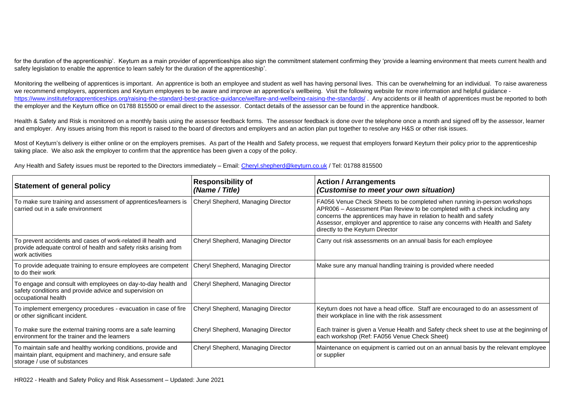for the duration of the apprenticeship'. Keyturn as a main provider of apprenticeships also sign the commitment statement confirming they 'provide a learning environment that meets current health and safety legislation to enable the apprentice to learn safely for the duration of the apprenticeship'.

Monitoring the wellbeing of apprentices is important. An apprentice is both an employee and student as well has having personal lives. This can be overwhelming for an individual. To raise awareness we recommend employers, apprentices and Keyturn employees to be aware and improve an apprentice's wellbeing. Visit the following website for more information and helpful quidance <https://www.instituteforapprenticeships.org/raising-the-standard-best-practice-guidance/welfare-and-wellbeing-raising-the-standards/> . Any accidents or ill health of apprentices must be reported to both the employer and the Keyturn office on 01788 815500 or email direct to the assessor. Contact details of the assessor can be found in the apprentice handbook.

Health & Safety and Risk is monitored on a monthly basis using the assessor feedback forms. The assessor feedback is done over the telephone once a month and signed off by the assessor, learner and employer. Any issues arising from this report is raised to the board of directors and employers and an action plan put together to resolve any H&S or other risk issues.

Most of Keyturn's delivery is either online or on the employers premises. As part of the Health and Safety process, we request that employers forward Keyturn their policy prior to the apprenticeship taking place. We also ask the employer to confirm that the apprentice has been given a copy of the policy.

| Any Health and Safety issues must be reported to the Directors immediately – Email: Cheryl.shepherd@keyturn.co.uk / Tel: 01788 815500 |  |
|---------------------------------------------------------------------------------------------------------------------------------------|--|
|                                                                                                                                       |  |

| <b>Statement of general policy</b>                                                                                                                      | <b>Responsibility of</b><br>(Name / Title) | <b>Action / Arrangements</b><br>(Customise to meet your own situation)                                                                                                                                                                                                                                                                              |
|---------------------------------------------------------------------------------------------------------------------------------------------------------|--------------------------------------------|-----------------------------------------------------------------------------------------------------------------------------------------------------------------------------------------------------------------------------------------------------------------------------------------------------------------------------------------------------|
| To make sure training and assessment of apprentices/learners is<br>carried out in a safe environment                                                    | Cheryl Shepherd, Managing Director         | FA056 Venue Check Sheets to be completed when running in-person workshops<br>APR006 - Assessment Plan Review to be completed with a check including any<br>concerns the apprentices may have in relation to health and safety<br>Assessor, employer and apprentice to raise any concerns with Health and Safety<br>directly to the Keyturn Director |
| To prevent accidents and cases of work-related ill health and<br>provide adequate control of health and safety risks arising from<br>work activities    | Cheryl Shepherd, Managing Director         | Carry out risk assessments on an annual basis for each employee                                                                                                                                                                                                                                                                                     |
| To provide adequate training to ensure employees are competent<br>to do their work                                                                      | Cheryl Shepherd, Managing Director         | Make sure any manual handling training is provided where needed                                                                                                                                                                                                                                                                                     |
| To engage and consult with employees on day-to-day health and<br>safety conditions and provide advice and supervision on<br>occupational health         | Cheryl Shepherd, Managing Director         |                                                                                                                                                                                                                                                                                                                                                     |
| To implement emergency procedures - evacuation in case of fire<br>or other significant incident.                                                        | Cheryl Shepherd, Managing Director         | Keyturn does not have a head office. Staff are encouraged to do an assessment of<br>their workplace in line with the risk assessment                                                                                                                                                                                                                |
| To make sure the external training rooms are a safe learning<br>environment for the trainer and the learners                                            | Cheryl Shepherd, Managing Director         | Each trainer is given a Venue Health and Safety check sheet to use at the beginning of<br>each workshop (Ref: FA056 Venue Check Sheet)                                                                                                                                                                                                              |
| To maintain safe and healthy working conditions, provide and<br>maintain plant, equipment and machinery, and ensure safe<br>storage / use of substances | Cheryl Shepherd, Managing Director         | Maintenance on equipment is carried out on an annual basis by the relevant employee<br>or supplier                                                                                                                                                                                                                                                  |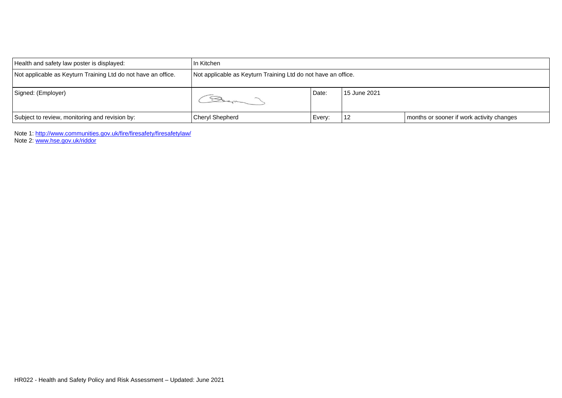| Health and safety law poster is displayed:                    | In Kitchen                                                    |        |              |                                           |
|---------------------------------------------------------------|---------------------------------------------------------------|--------|--------------|-------------------------------------------|
| Not applicable as Keyturn Training Ltd do not have an office. | Not applicable as Keyturn Training Ltd do not have an office. |        |              |                                           |
| Signed: (Employer)                                            |                                                               | Date:  | 15 June 2021 |                                           |
| Subject to review, monitoring and revision by:                | <b>Cheryl Shepherd</b>                                        | Every: | 12           | months or sooner if work activity changes |

Note 1: <http://www.communities.gov.uk/fire/firesafety/firesafetylaw/>

Note 2: [www.hse.gov.uk/riddor](http://www.hse.gov.uk/riddor)